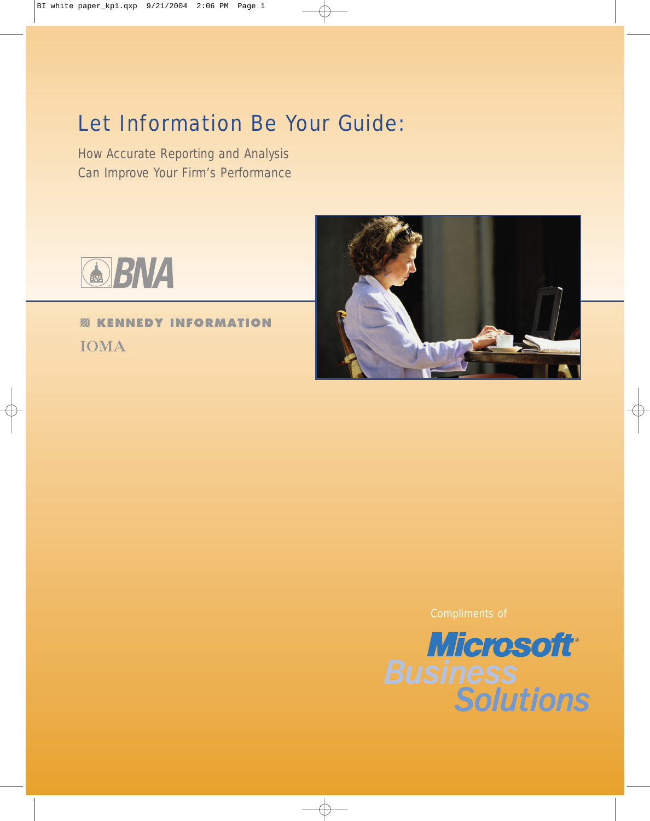# Let Information Be Your Guide:

How Accurate Reporting and Analysis Can Improve Your Firm's Performance



**ABNA** 

*<b>EXICUTE INFORMATION* **IOMA** 

Compliments of

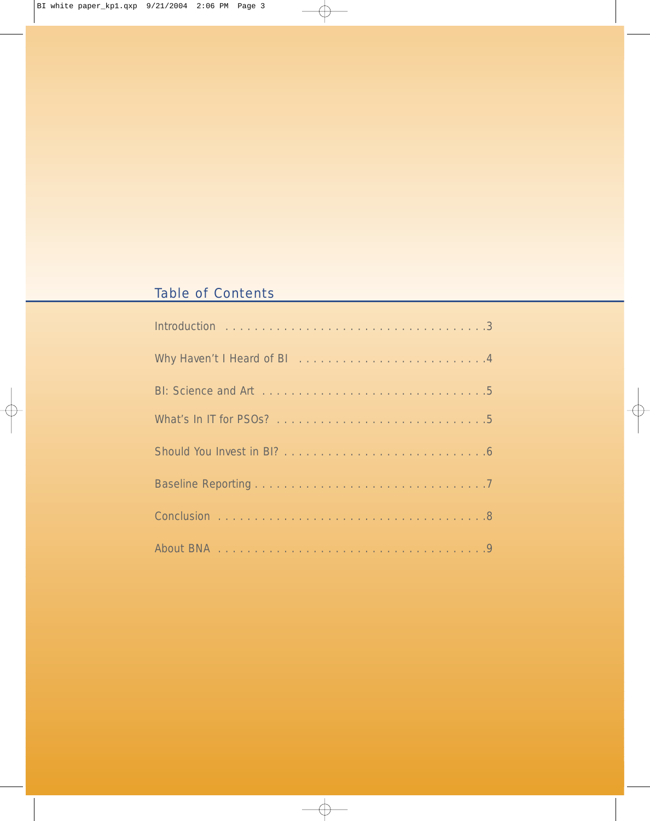## Table of Contents

| Why Haven't I Heard of BI All Album Album Album Album Album Album Album Album Album Album Album Album Album Al |
|----------------------------------------------------------------------------------------------------------------|
|                                                                                                                |
|                                                                                                                |
|                                                                                                                |
|                                                                                                                |
|                                                                                                                |
|                                                                                                                |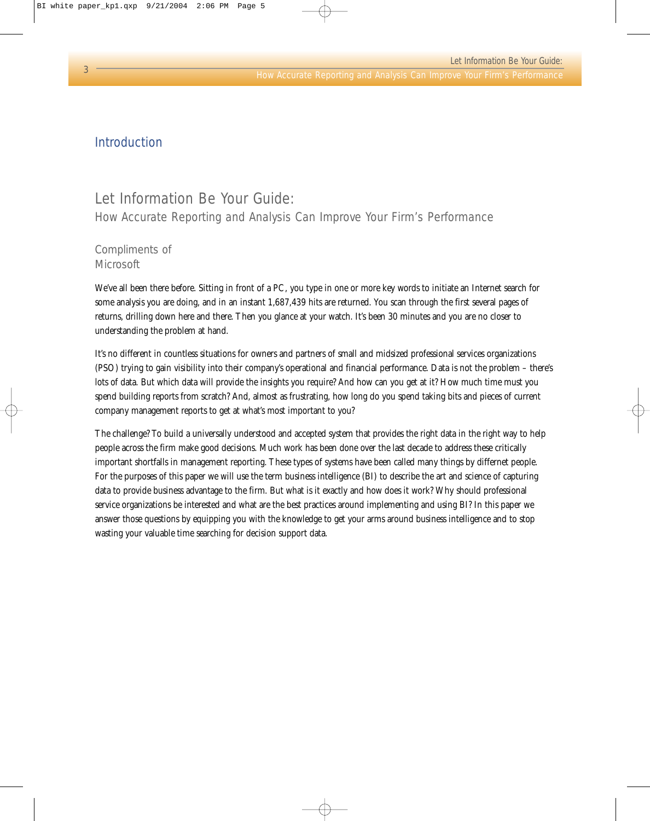#### Introduction

### Let Information Be Your Guide: How Accurate Reporting and Analysis Can Improve Your Firm's Performance

#### Compliments of **Microsoft**

We've all been there before. Sitting in front of a PC, you type in one or more key words to initiate an Internet search for some analysis you are doing, and in an instant 1,687,439 hits are returned. You scan through the first several pages of returns, drilling down here and there. Then you glance at your watch. It's been 30 minutes and you are no closer to understanding the problem at hand.

It's no different in countless situations for owners and partners of small and midsized professional services organizations (PSO) trying to gain visibility into their company's operational and financial performance. Data is not the problem – there's lots of data. But which data will provide the insights you require? And how can you get at it? How much time must you spend building reports from scratch? And, almost as frustrating, how long do you spend taking bits and pieces of current company management reports to get at what's most important to you?

The challenge? To build a universally understood and accepted system that provides the right data in the right way to help people across the firm make good decisions. Much work has been done over the last decade to address these critically important shortfalls in management reporting. These types of systems have been called many things by differnet people. For the purposes of this paper we will use the term business intelligence (BI) to describe the art and science of capturing data to provide business advantage to the firm. But what is it exactly and how does it work? Why should professional service organizations be interested and what are the best practices around implementing and using BI? In this paper we answer those questions by equipping you with the knowledge to get your arms around business intelligence and to stop wasting your valuable time searching for decision support data.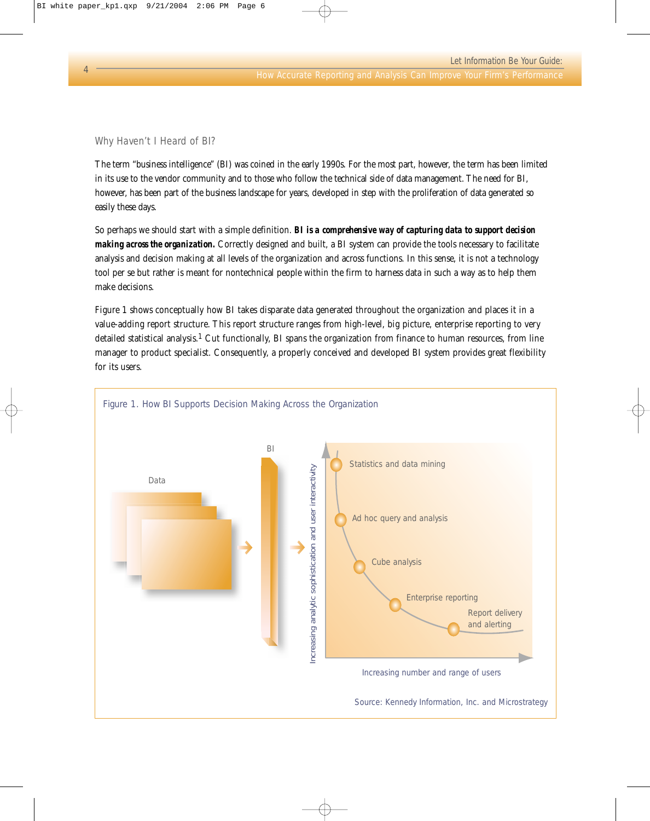Why Haven't I Heard of BI?

The term "business intelligence" (BI) was coined in the early 1990s. For the most part, however, the term has been limited in its use to the vendor community and to those who follow the technical side of data management. The need for BI, however, has been part of the business landscape for years, developed in step with the proliferation of data generated so easily these days.

So perhaps we should start with a simple definition. *BI is a comprehensive way of capturing data to support decision making across the organization.* Correctly designed and built, a BI system can provide the tools necessary to facilitate analysis and decision making at all levels of the organization and across functions. In this sense, it is not a technology tool per se but rather is meant for nontechnical people within the firm to harness data in such a way as to help them make decisions.

Figure 1 shows conceptually how BI takes disparate data generated throughout the organization and places it in a value-adding report structure. This report structure ranges from high-level, big picture, enterprise reporting to very detailed statistical analysis.1 Cut functionally, BI spans the organization from finance to human resources, from line manager to product specialist. Consequently, a properly conceived and developed BI system provides great flexibility for its users.

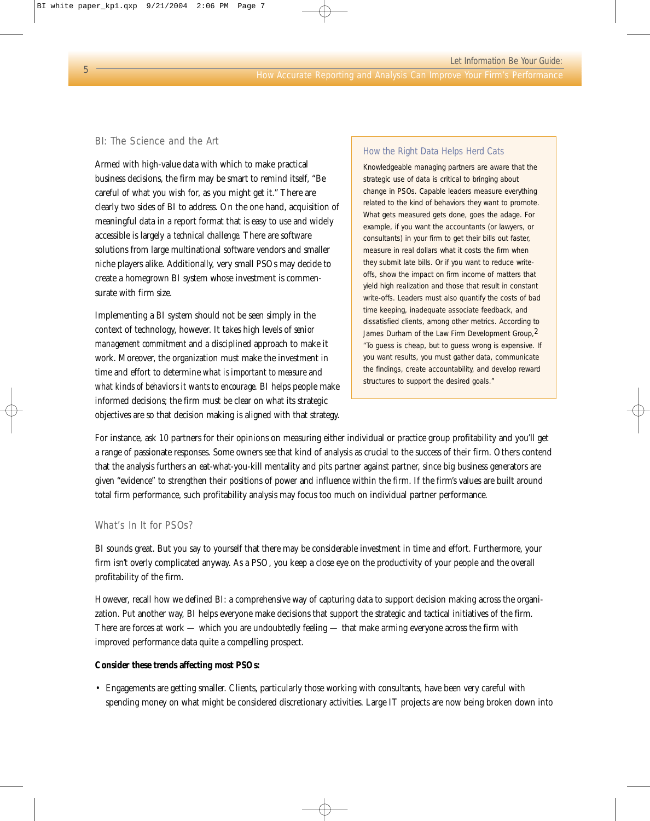#### BI: The Science and the Art

Armed with high-value data with which to make practical business decisions, the firm may be smart to remind itself, "Be careful of what you wish for, as you might get it." There are clearly two sides of BI to address. On the one hand, acquisition of meaningful data in a report format that is easy to use and widely accessible is largely *a technical challenge*. There are software solutions from large multinational software vendors and smaller niche players alike. Additionally, very small PSOs may decide to create a homegrown BI system whose investment is commensurate with firm size.

Implementing a BI system should not be seen simply in the context of technology, however. It takes high levels of *senior management commitment* and a disciplined approach to make it work. Moreover, the organization must make the investment in time and effort to determine *what is important to measure* and *what kinds of behaviors it wants to encourage*. BI helps people make informed decisions; the firm must be clear on what its strategic objectives are so that decision making is aligned with that strategy.

#### How the Right Data Helps Herd Cats

Knowledgeable managing partners are aware that the strategic use of data is critical to bringing about change in PSOs. Capable leaders measure everything related to the kind of behaviors they want to promote. What gets measured gets done, goes the adage. For example, if you want the accountants (or lawyers, or consultants) in your firm to get their bills out faster, measure in real dollars what it costs the firm when they submit late bills. Or if you want to reduce writeoffs, show the impact on firm income of matters that yield high realization and those that result in constant write-offs. Leaders must also quantify the costs of bad time keeping, inadequate associate feedback, and dissatisfied clients, among other metrics. According to James Durham of the Law Firm Development Group, 2 "To guess is cheap, but to guess wrong is expensive. If you want results, you must gather data, communicate the findings, create accountability, and develop reward structures to support the desired goals."

For instance, ask 10 partners for their opinions on measuring either individual or practice group profitability and you'll get a range of passionate responses. Some owners see that kind of analysis as crucial to the success of their firm. Others contend that the analysis furthers an eat-what-you-kill mentality and pits partner against partner, since big business generators are given "evidence" to strengthen their positions of power and influence within the firm. If the firm's values are built around total firm performance, such profitability analysis may focus too much on individual partner performance.

#### What's In It for PSOs?

BI sounds great. But you say to yourself that there may be considerable investment in time and effort. Furthermore, your firm isn't overly complicated anyway. As a PSO, you keep a close eye on the productivity of your people and the overall profitability of the firm.

However, recall how we defined BI: a comprehensive way of capturing data to support decision making across the organization. Put another way, BI helps everyone make decisions that support the strategic and tactical initiatives of the firm. There are forces at work — which you are undoubtedly feeling — that make arming everyone across the firm with improved performance data quite a compelling prospect.

#### **Consider these trends affecting most PSOs:**

• Engagements are getting smaller. Clients, particularly those working with consultants, have been very careful with spending money on what might be considered discretionary activities. Large IT projects are now being broken down into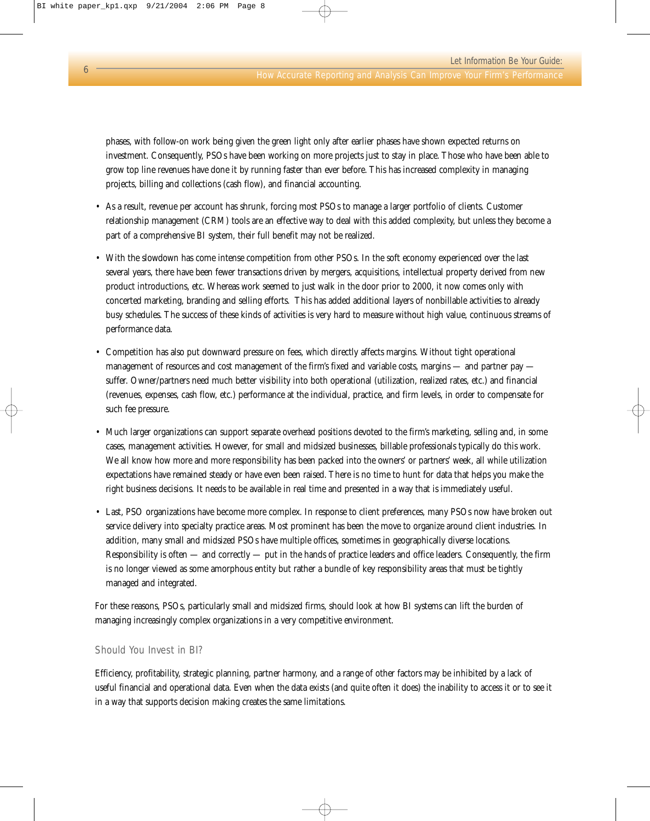phases, with follow-on work being given the green light only after earlier phases have shown expected returns on investment. Consequently, PSOs have been working on more projects just to stay in place. Those who have been able to grow top line revenues have done it by running faster than ever before. This has increased complexity in managing projects, billing and collections (cash flow), and financial accounting.

- As a result, revenue per account has shrunk, forcing most PSOs to manage a larger portfolio of clients. Customer relationship management (CRM) tools are an effective way to deal with this added complexity, but unless they become a part of a comprehensive BI system, their full benefit may not be realized.
- With the slowdown has come intense competition from other PSOs. In the soft economy experienced over the last several years, there have been fewer transactions driven by mergers, acquisitions, intellectual property derived from new product introductions, etc. Whereas work seemed to just walk in the door prior to 2000, it now comes only with concerted marketing, branding and selling efforts. This has added additional layers of nonbillable activities to already busy schedules. The success of these kinds of activities is very hard to measure without high value, continuous streams of performance data.
- Competition has also put downward pressure on fees, which directly affects margins. Without tight operational management of resources and cost management of the firm's fixed and variable costs, margins — and partner pay suffer. Owner/partners need much better visibility into both operational (utilization, realized rates, etc.) and financial (revenues, expenses, cash flow, etc.) performance at the individual, practice, and firm levels, in order to compensate for such fee pressure.
- Much larger organizations can support separate overhead positions devoted to the firm's marketing, selling and, in some cases, management activities. However, for small and midsized businesses, billable professionals typically do this work. We all know how more and more responsibility has been packed into the owners' or partners' week, all while utilization expectations have remained steady or have even been raised. There is no time to hunt for data that helps you make the right business decisions. It needs to be available in real time and presented in a way that is immediately useful.
- Last, PSO organizations have become more complex. In response to client preferences, many PSOs now have broken out service delivery into specialty practice areas. Most prominent has been the move to organize around client industries. In addition, many small and midsized PSOs have multiple offices, sometimes in geographically diverse locations. Responsibility is often — and correctly — put in the hands of practice leaders and office leaders. Consequently, the firm is no longer viewed as some amorphous entity but rather a bundle of key responsibility areas that must be tightly managed and integrated.

For these reasons, PSOs, particularly small and midsized firms, should look at how BI systems can lift the burden of managing increasingly complex organizations in a very competitive environment.

#### Should You Invest in BI?

Efficiency, profitability, strategic planning, partner harmony, and a range of other factors may be inhibited by a lack of useful financial and operational data. Even when the data exists (and quite often it does) the inability to access it or to see it in a way that supports decision making creates the same limitations.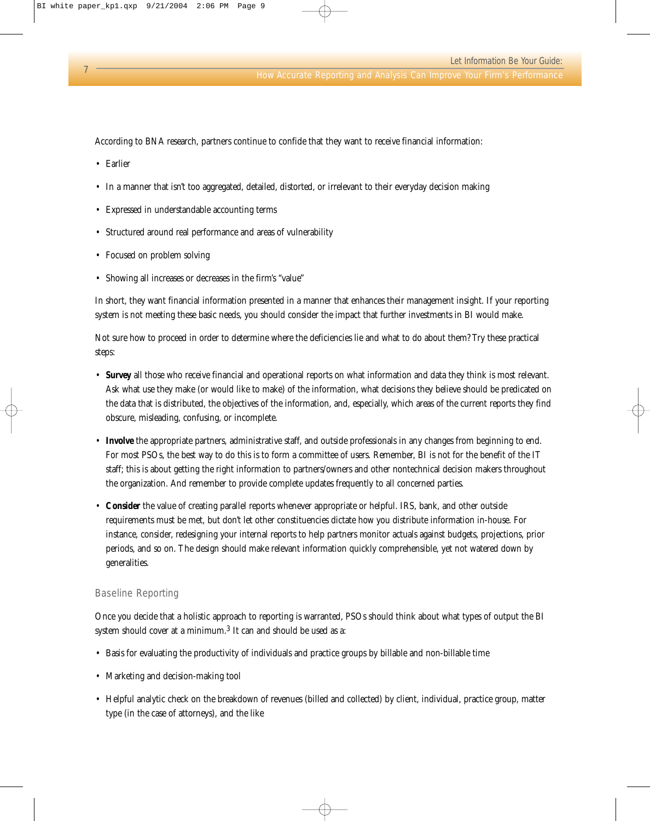According to BNA research, partners continue to confide that they want to receive financial information:

- Earlier
- In a manner that isn't too aggregated, detailed, distorted, or irrelevant to their everyday decision making
- Expressed in understandable accounting terms
- Structured around real performance and areas of vulnerability
- Focused on problem solving
- Showing all increases or decreases in the firm's "value"

In short, they want financial information presented in a manner that enhances their management insight. If your reporting system is not meeting these basic needs, you should consider the impact that further investments in BI would make.

Not sure how to proceed in order to determine where the deficiencies lie and what to do about them? Try these practical steps:

- **Survey** all those who receive financial and operational reports on what information and data they think is most relevant. Ask what use they make (or would like to make) of the information, what decisions they believe should be predicated on the data that is distributed, the objectives of the information, and, especially, which areas of the current reports they find obscure, misleading, confusing, or incomplete.
- **Involve** the appropriate partners, administrative staff, and outside professionals in any changes from beginning to end. For most PSOs, the best way to do this is to form a committee of users. Remember, BI is not for the benefit of the IT staff; this is about getting the right information to partners/owners and other nontechnical decision makers throughout the organization. And remember to provide complete updates frequently to all concerned parties.
- **Consider** the value of creating parallel reports whenever appropriate or helpful. IRS, bank, and other outside requirements must be met, but don't let other constituencies dictate how you distribute information in-house. For instance, consider, redesigning your internal reports to help partners monitor actuals against budgets, projections, prior periods, and so on. The design should make relevant information quickly comprehensible, yet not watered down by generalities.

#### Baseline Reporting

Once you decide that a holistic approach to reporting is warranted, PSOs should think about what types of output the BI system should cover at a minimum.3 It can and should be used as a:

- Basis for evaluating the productivity of individuals and practice groups by billable and non-billable time
- Marketing and decision-making tool
- Helpful analytic check on the breakdown of revenues (billed and collected) by client, individual, practice group, matter type (in the case of attorneys), and the like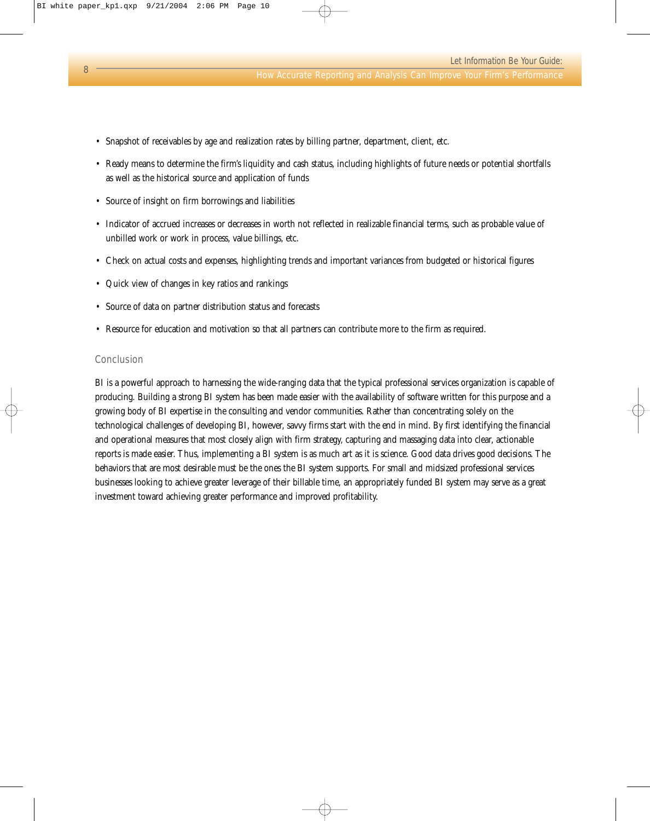- Snapshot of receivables by age and realization rates by billing partner, department, client, etc.
- Ready means to determine the firm's liquidity and cash status, including highlights of future needs or potential shortfalls as well as the historical source and application of funds
- Source of insight on firm borrowings and liabilities
- Indicator of accrued increases or decreases in worth not reflected in realizable financial terms, such as probable value of unbilled work or work in process, value billings, etc.
- Check on actual costs and expenses, highlighting trends and important variances from budgeted or historical figures
- Quick view of changes in key ratios and rankings
- Source of data on partner distribution status and forecasts
- Resource for education and motivation so that all partners can contribute more to the firm as required.

#### Conclusion

BI is a powerful approach to harnessing the wide-ranging data that the typical professional services organization is capable of producing. Building a strong BI system has been made easier with the availability of software written for this purpose and a growing body of BI expertise in the consulting and vendor communities. Rather than concentrating solely on the technological challenges of developing BI, however, savvy firms start with the end in mind. By first identifying the financial and operational measures that most closely align with firm strategy, capturing and massaging data into clear, actionable reports is made easier. Thus, implementing a BI system is as much art as it is science. Good data drives good decisions. The behaviors that are most desirable must be the ones the BI system supports. For small and midsized professional services businesses looking to achieve greater leverage of their billable time, an appropriately funded BI system may serve as a great investment toward achieving greater performance and improved profitability.